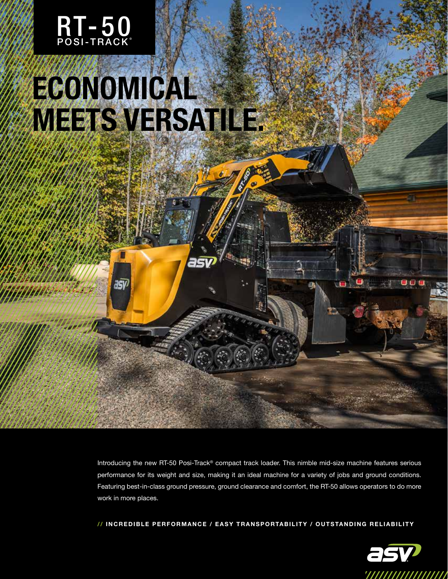

## **ECONOMICAL MEETS VERSATILE.**

asy

Introducing the new RT-50 Posi-Track® compact track loader. This nimble mid-size machine features serious performance for its weight and size, making it an ideal machine for a variety of jobs and ground conditions. Featuring best-in-class ground pressure, ground clearance and comfort, the RT-50 allows operators to do more work in more places.

// INCREDIBLE PERFORMANCE / EASY TRANSPORTABILITY / OUTSTANDING RELIABILITY



000